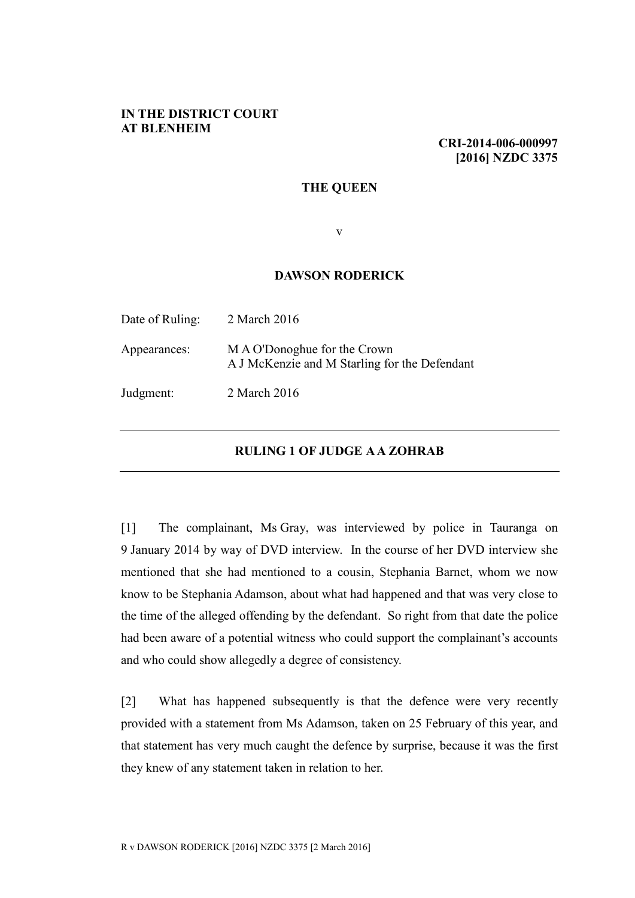## **IN THE DISTRICT COURT AT BLENHEIM**

**CRI-2014-006-000997 [2016] NZDC 3375**

## **THE QUEEN**

v

## **DAWSON RODERICK**

| Date of Ruling: | 2 March 2016                                                                  |
|-----------------|-------------------------------------------------------------------------------|
| Appearances:    | M A O'Donoghue for the Crown<br>A J McKenzie and M Starling for the Defendant |
| Judgment:       | 2 March 2016                                                                  |

## **RULING 1 OF JUDGE A A ZOHRAB**

[1] The complainant, Ms Gray, was interviewed by police in Tauranga on 9 January 2014 by way of DVD interview. In the course of her DVD interview she mentioned that she had mentioned to a cousin, Stephania Barnet, whom we now know to be Stephania Adamson, about what had happened and that was very close to the time of the alleged offending by the defendant. So right from that date the police had been aware of a potential witness who could support the complainant's accounts and who could show allegedly a degree of consistency.

[2] What has happened subsequently is that the defence were very recently provided with a statement from Ms Adamson, taken on 25 February of this year, and that statement has very much caught the defence by surprise, because it was the first they knew of any statement taken in relation to her.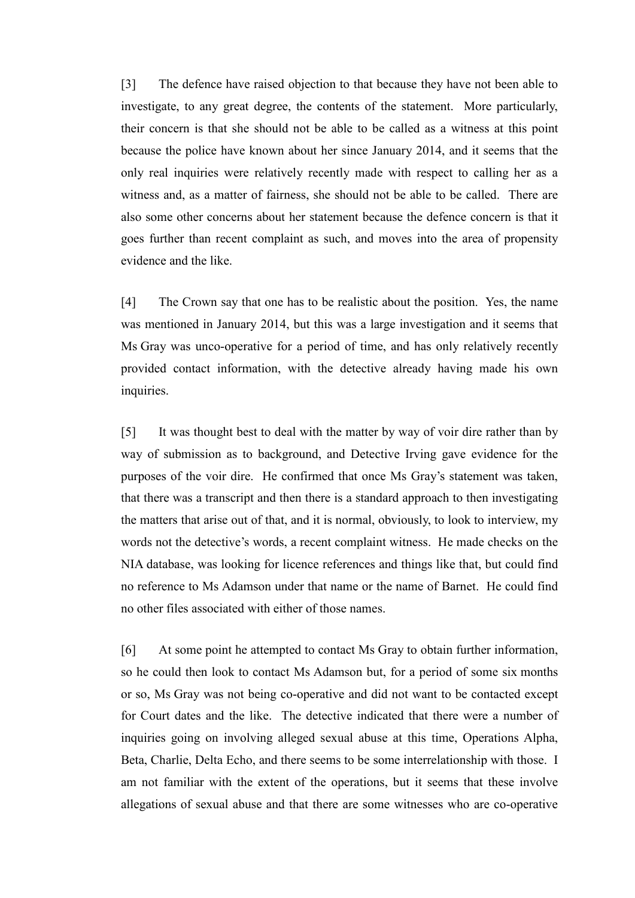[3] The defence have raised objection to that because they have not been able to investigate, to any great degree, the contents of the statement. More particularly, their concern is that she should not be able to be called as a witness at this point because the police have known about her since January 2014, and it seems that the only real inquiries were relatively recently made with respect to calling her as a witness and, as a matter of fairness, she should not be able to be called. There are also some other concerns about her statement because the defence concern is that it goes further than recent complaint as such, and moves into the area of propensity evidence and the like.

[4] The Crown say that one has to be realistic about the position. Yes, the name was mentioned in January 2014, but this was a large investigation and it seems that Ms Gray was unco-operative for a period of time, and has only relatively recently provided contact information, with the detective already having made his own inquiries.

[5] It was thought best to deal with the matter by way of voir dire rather than by way of submission as to background, and Detective Irving gave evidence for the purposes of the voir dire. He confirmed that once Ms Gray's statement was taken, that there was a transcript and then there is a standard approach to then investigating the matters that arise out of that, and it is normal, obviously, to look to interview, my words not the detective's words, a recent complaint witness. He made checks on the NIA database, was looking for licence references and things like that, but could find no reference to Ms Adamson under that name or the name of Barnet. He could find no other files associated with either of those names.

[6] At some point he attempted to contact Ms Gray to obtain further information, so he could then look to contact Ms Adamson but, for a period of some six months or so, Ms Gray was not being co-operative and did not want to be contacted except for Court dates and the like. The detective indicated that there were a number of inquiries going on involving alleged sexual abuse at this time, Operations Alpha, Beta, Charlie, Delta Echo, and there seems to be some interrelationship with those. I am not familiar with the extent of the operations, but it seems that these involve allegations of sexual abuse and that there are some witnesses who are co-operative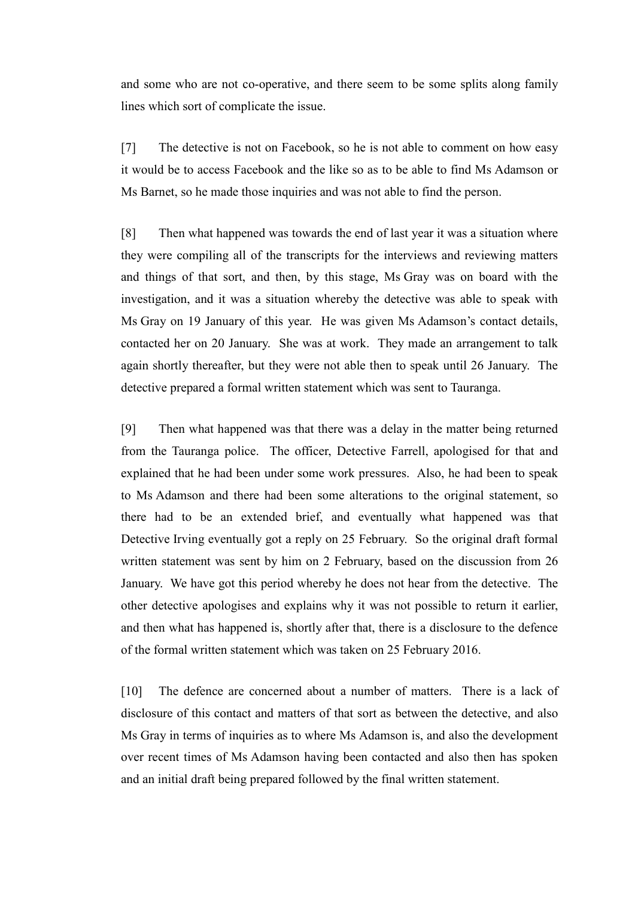and some who are not co-operative, and there seem to be some splits along family lines which sort of complicate the issue.

[7] The detective is not on Facebook, so he is not able to comment on how easy it would be to access Facebook and the like so as to be able to find Ms Adamson or Ms Barnet, so he made those inquiries and was not able to find the person.

[8] Then what happened was towards the end of last year it was a situation where they were compiling all of the transcripts for the interviews and reviewing matters and things of that sort, and then, by this stage, Ms Gray was on board with the investigation, and it was a situation whereby the detective was able to speak with Ms Gray on 19 January of this year. He was given Ms Adamson's contact details, contacted her on 20 January. She was at work. They made an arrangement to talk again shortly thereafter, but they were not able then to speak until 26 January. The detective prepared a formal written statement which was sent to Tauranga.

[9] Then what happened was that there was a delay in the matter being returned from the Tauranga police. The officer, Detective Farrell, apologised for that and explained that he had been under some work pressures. Also, he had been to speak to Ms Adamson and there had been some alterations to the original statement, so there had to be an extended brief, and eventually what happened was that Detective Irving eventually got a reply on 25 February. So the original draft formal written statement was sent by him on 2 February, based on the discussion from 26 January. We have got this period whereby he does not hear from the detective. The other detective apologises and explains why it was not possible to return it earlier, and then what has happened is, shortly after that, there is a disclosure to the defence of the formal written statement which was taken on 25 February 2016.

[10] The defence are concerned about a number of matters. There is a lack of disclosure of this contact and matters of that sort as between the detective, and also Ms Gray in terms of inquiries as to where Ms Adamson is, and also the development over recent times of Ms Adamson having been contacted and also then has spoken and an initial draft being prepared followed by the final written statement.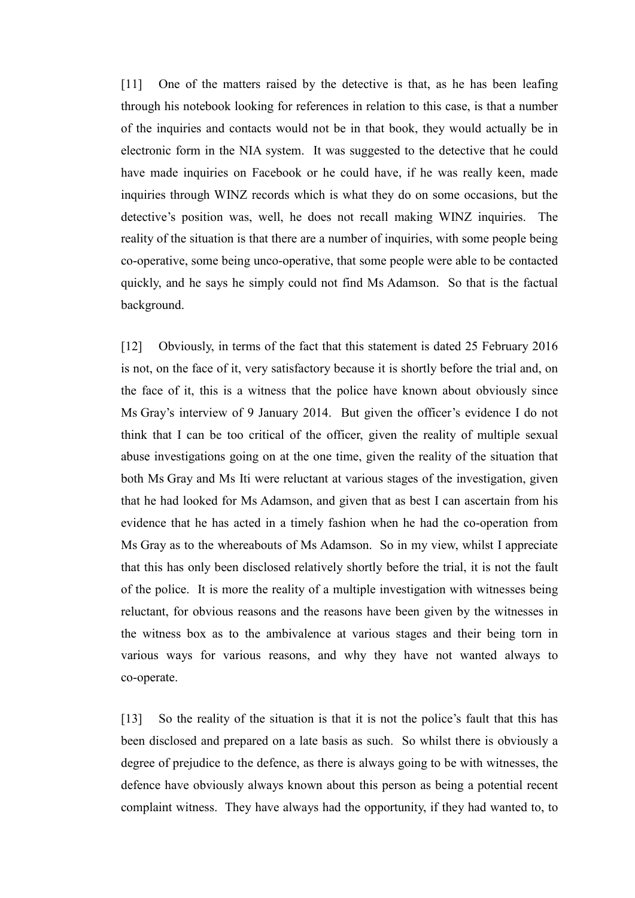[11] One of the matters raised by the detective is that, as he has been leafing through his notebook looking for references in relation to this case, is that a number of the inquiries and contacts would not be in that book, they would actually be in electronic form in the NIA system. It was suggested to the detective that he could have made inquiries on Facebook or he could have, if he was really keen, made inquiries through WINZ records which is what they do on some occasions, but the detective's position was, well, he does not recall making WINZ inquiries. The reality of the situation is that there are a number of inquiries, with some people being co-operative, some being unco-operative, that some people were able to be contacted quickly, and he says he simply could not find Ms Adamson. So that is the factual background.

[12] Obviously, in terms of the fact that this statement is dated 25 February 2016 is not, on the face of it, very satisfactory because it is shortly before the trial and, on the face of it, this is a witness that the police have known about obviously since Ms Gray's interview of 9 January 2014. But given the officer's evidence I do not think that I can be too critical of the officer, given the reality of multiple sexual abuse investigations going on at the one time, given the reality of the situation that both Ms Gray and Ms Iti were reluctant at various stages of the investigation, given that he had looked for Ms Adamson, and given that as best I can ascertain from his evidence that he has acted in a timely fashion when he had the co-operation from Ms Gray as to the whereabouts of Ms Adamson. So in my view, whilst I appreciate that this has only been disclosed relatively shortly before the trial, it is not the fault of the police. It is more the reality of a multiple investigation with witnesses being reluctant, for obvious reasons and the reasons have been given by the witnesses in the witness box as to the ambivalence at various stages and their being torn in various ways for various reasons, and why they have not wanted always to co-operate.

[13] So the reality of the situation is that it is not the police's fault that this has been disclosed and prepared on a late basis as such. So whilst there is obviously a degree of prejudice to the defence, as there is always going to be with witnesses, the defence have obviously always known about this person as being a potential recent complaint witness. They have always had the opportunity, if they had wanted to, to